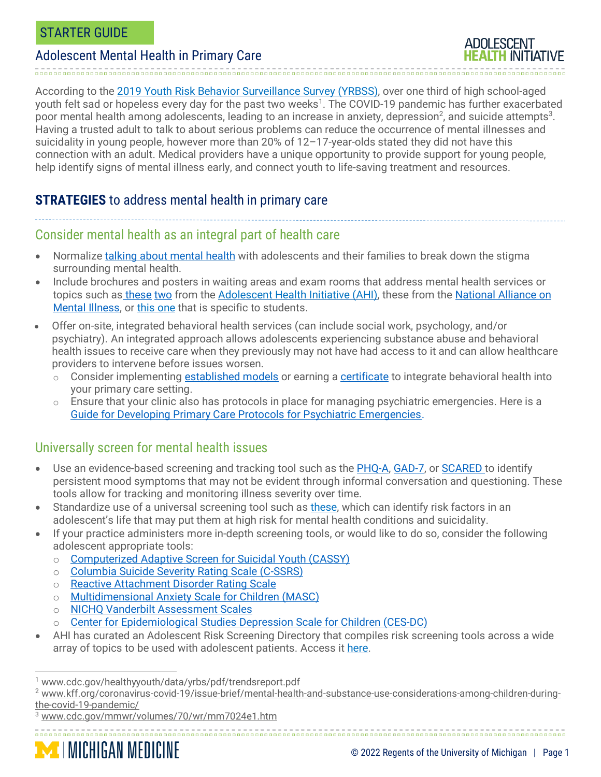**ADOLESCENT** 

According to the 2019 Youth Risk Behavior [Surveillance](https://www.cdc.gov/healthyyouth/data/yrbs/index.htm) Survey (YRBSS), over one third of high school-aged youth felt sad or hopeless every day for the past two weeks<sup>1</sup>. The COVID-19 pandemic has further exacerbated poor mental health among adolescents, leading to an increase in anxiety, depression<sup>2</sup>, and suicide attempts $^3$ . Having a trusted adult to talk to about serious problems can reduce the occurrence of mental illnesses and suicidality in young people, however more than 20% of 12–17-year-olds stated they did not have this connection with an adult. Medical providers have a unique opportunity to provide support for young people, help identify signs of mental illness early, and connect youth to life-saving treatment and resources.

## **STRATEGIES** to address mental health in primary care

### Consider mental health as an integral part of health care

- Normalize talking about [mental](https://www.studentdoctor.net/2016/03/15/know-talking-patients-mental-health/) health with adolescents and their families to break down the stigma surrounding mental health.
- Include brochures and posters in waiting areas and exam rooms that address mental health services or topics such as [these](https://www.umhs-adolescenthealth.org/wp-content/uploads/2019/09/talkmentalhealth_poster_nocrops.pdf) [two](https://www.umhs-adolescenthealth.org/wp-content/uploads/2019/09/earnyourtrust_poster_nocrops.pdf) from the [Adolescent](https://umhs-adolescenthealth.org/) Health Initiative (AHI), these from the [National](https://nami.org/mhstats) Alliance on Mental [Illness,](https://nami.org/mhstats) or this [one](https://nami.org/NAMI/media/NAMI-Media/Infographics/NAMI-Getting-the-Right-Start.pdf) that is specific to students.
- Offer on-site, integrated behavioral health services (can include social work, psychology, and/or psychiatry). An integrated approach allows adolescents experiencing substance abuse and behavioral health issues to receive care when they previously may not have had access to it and can allow healthcare providers to intervene before issues worsen.
	- o Consider implementing [established models](http://www.integration.samhsa.gov/integrated-care-models/behavioral-health-in-primary-care) or earning a [certificate](http://ssw.umich.edu/offices/continuing-education/certificate-courses/integrated-behavioral-health-and-primary-care) to integrate behavioral health into your primary care setting.
	- $\circ$  Ensure that your clinic also has protocols in place for managing psychiatric emergencies. Here is a [Guide for Developing Primary Care Protocols for Psychiatric Emergencies.](https://aims.uw.edu/sites/default/files/AIMS_PsychiatricEmergencyManagement_2016.pdf)

### Universally screen for mental health issues

- Use an evidence-based screening and tracking tool such as the [PHQ-A,](https://www.aacap.org/App_Themes/AACAP/docs/member_resources/toolbox_for_clinical_practice_and_outcomes/symptoms/GLAD-PC_PHQ-9.pdf) [GAD-7,](https://med.dartmouth-hitchcock.org/documents/GAD-7-anxiety-screen.pdf) or [SCARED](https://www.pediatricbipolar.pitt.edu/resources/instruments) to identify persistent mood symptoms that may not be evident through informal conversation and questioning. These tools allow for tracking and monitoring illness severity over time.
- Standardize use of a universal screening tool such as [these,](http://www.sbh4all.org/wp-content/uploads/2016/05/Screening-Comparison-Chart.pdf) which can identify risk factors in an adolescent's life that may put them at high risk for mental health conditions and suicidality.
- If your practice administers more in-depth screening tools, or would like to do so, consider the following adolescent appropriate tools:
	- o [Computerized](https://jamanetwork.com/journals/jamapsychiatry/article-abstract/2775993) Adaptive Screen for Suicidal Youth (CASSY)
	- o [Columbia](https://suicidepreventionlifeline.org/wp-content/uploads/2016/09/Suicide-Risk-Assessment-C-SSRS-Lifeline-Version-2014.pdf) Suicide Severity Rating Scale (C-SSRS)
	- o Reactive [Attachment](https://www.dhhs.nh.gov/dcyf/adoption/documents/reactive-attachment-disorder-dsmiv.pdf) Disorder Rating Scale
	- o [Multidimensional](https://www.pearsonassessments.com/store/usassessments/en/Store/Professional-Assessments/Personality-%2526-Biopsychosocial/Multidimensional-Anxiety-Scale-for-Children-%257C-Second-Edition/p/100000735.html) Anxiety Scale for Children (MASC)
	- o **NICHQ Vanderbilt [Assessment](https://www.nichq.org/sites/default/files/resource-file/NICHQ-Vanderbilt-Assessment-Scales.pdf) Scales**
	- o Center for [Epidemiological](https://novopsych.com.au/assessments/diagnosis/center-for-epidemiological-studies-depression-scale-for-children-ces-dc/) Studies Depression Scale for Children (CES-DC)
- AHI has curated an Adolescent Risk Screening Directory that compiles risk screening tools across a wide array of topics to be used with adolescent patients. Access it [here.](https://docs.google.com/spreadsheets/d/1xzQAUb-SkqXCDYyfBbihd7MmV1PEGdTubx1hqyz5N1U/edit?usp=sharing)

<sup>1</sup> www.cdc.gov/healthyyouth/data/yrbs/pdf/trendsreport.pdf

<sup>2</sup> [www.kff.org/coronavirus-covid-19/issue-brief/mental-health-and-substance-use-considerations-among-children-during](http://www.kff.org/coronavirus-covid-19/issue-brief/mental-health-and-substance-use-considerations-among-children-during-the-covid-19-pandemic/)[the-covid-19-pandemic/](http://www.kff.org/coronavirus-covid-19/issue-brief/mental-health-and-substance-use-considerations-among-children-during-the-covid-19-pandemic/)

<sup>3</sup> [www.cdc.gov/mmwr/volumes/70/wr/mm7024e1.htm](http://www.cdc.gov/mmwr/volumes/70/wr/mm7024e1.htm)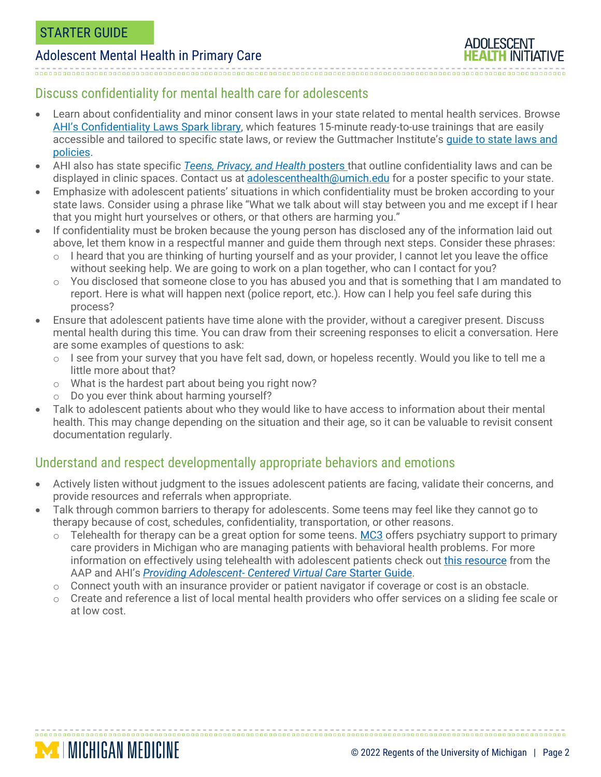### Discuss confidentiality for mental health care for adolescents

- Learn about confidentiality and minor consent laws in your state related to mental health services. Browse AHI's [Confidentiality](https://www.umhs-adolescenthealth.org/improving-care/spark-trainings/confidentiality-laws/) Laws Spark library, which features 15-minute ready-to-use trainings that are easily accessible and tailored to specific state laws, or review the Guttmacher Institute's [guide](https://www.guttmacher.org/state-policy/explore/overview-minors-consent-law) to state laws and [policies.](https://www.guttmacher.org/state-policy/explore/overview-minors-consent-law)
- AHI also has state specific *Teens, Privacy, and Health* [posters](https://umhs-adolescenthealth.org/improving-care/health-center-materials/health-rights-posters/) that outline confidentiality laws and can be displayed in clinic spaces. Contact us at adolescenthealth@umich.edu for a poster specific to your state.
- Emphasize with adolescent patients' situations in which confidentiality must be broken according to your state laws. Consider using a phrase like "What we talk about will stay between you and me except if I hear that you might hurt yourselves or others, or that others are harming you."
- If confidentiality must be broken because the young person has disclosed any of the information laid out above, let them know in a respectful manner and guide them through next steps. Consider these phrases:
	- $\circ$  I heard that you are thinking of hurting yourself and as your provider, I cannot let you leave the office without seeking help. We are going to work on a plan together, who can I contact for you?
	- o You disclosed that someone close to you has abused you and that is something that I am mandated to report. Here is what will happen next (police report, etc.). How can I help you feel safe during this process?
- Ensure that adolescent patients have time alone with the provider, without a caregiver present. Discuss mental health during this time. You can draw from their screening responses to elicit a conversation. Here are some examples of questions to ask:
	- $\circ$  I see from your survey that you have felt sad, down, or hopeless recently. Would you like to tell me a little more about that?
	- o What is the hardest part about being you right now?
	- o Do you ever think about harming yourself?

**MINICHIGAN MEDICINE** 

• Talk to adolescent patients about who they would like to have access to information about their mental health. This may change depending on the situation and their age, so it can be valuable to revisit consent documentation regularly.

# Understand and respect developmentally appropriate behaviors and emotions

- Actively listen without judgment to the issues adolescent patients are facing, validate their concerns, and provide resources and referrals when appropriate.
- Talk through common barriers to therapy for adolescents. Some teens may feel like they cannot go to therapy because of cost, schedules, confidentiality, transportation, or other reasons.
	- Telehealth for therapy can be a great option for some teens. [MC3](https://www.depressioncenter.org/mc3) offers psychiatry support to primary care providers in Michigan who are managing patients with behavioral health problems. For more information on effectively using telehealth with adolescent patients check out this [resource](https://www.aap.org/en/news-room/campaigns-and-toolkits/promoting-telehealth/) from the AAP and AHI's *Providing [Adolescent-](https://umhs-adolescenthealth.org/wp-content/uploads/2020/07/virtual-care-starter-guide.pdf) Centered Virtual Care* Starter Guide.
	- o Connect youth with an insurance provider or patient navigator if coverage or cost is an obstacle.
	- o Create and reference a list of local mental health providers who offer services on a sliding fee scale or at low cost.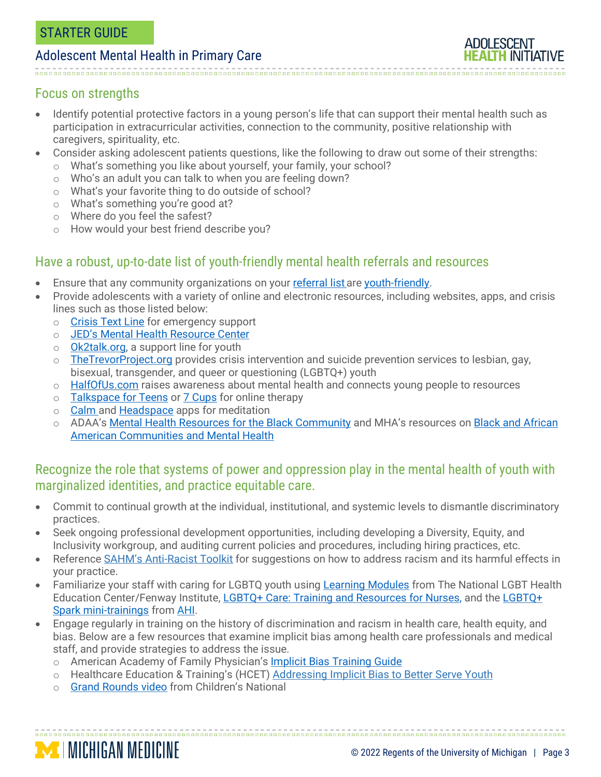#### Focus on strengths

- Identify potential protective factors in a young person's life that can support their mental health such as participation in extracurricular activities, connection to the community, positive relationship with caregivers, spirituality, etc.
- Consider asking adolescent patients questions, like the following to draw out some of their strengths:
	- o What's something you like about yourself, your family, your school?
	- o Who's an adult you can talk to when you are feeling down?
	- o What's your favorite thing to do outside of school?
	- o What's something you're good at?
	- o Where do you feel the safest?
	- o How would your best friend describe you?

### Have a robust, up-to-date list of youth-friendly mental health referrals and resources

- Ensure that any community organizations on your [referral](https://www.umhs-adolescenthealth.org/wp-content/uploads/2019/10/communityresourceguidetemplate.pdf) list are [youth-friendly.](http://www.umhs-adolescenthealth.org/wp-content/uploads/2018/12/ahi-youth-friendly-services-checklist.pdf)
- Provide adolescents with a variety of online and electronic resources, including websites, apps, and crisis lines such as those listed below:
	- o [Crisis](https://www.crisistextline.org/) Text Line for emergency support
	- o JED's Mental Health [Resource](https://www.jedfoundation.org/mental-health-resource-center/) Center
	- o [Ok2talk.org,](file://///corefs.med.umich.edu/shared2/CHS_Shared/AHI/Resources/Starter%20Guides/Youth%20Mental%20Health%20SG/ok2talk.org) a support line for youth
	- $\circ$  [TheTrevorProject.org](file://///corefs.med.umich.edu/shared2/CHS_Shared/AHI/Resources/Starter%20Guides/Youth%20Mental%20Health%20SG/TheTrevorProject.org) provides crisis intervention and suicide prevention services to lesbian, gay, bisexual, transgender, and queer or questioning (LGBTQ+) youth
	- o [HalfOfUs.com](file://///corefs.med.umich.edu/shared2/CHS_Shared/AHI/Resources/Starter%20Guides/Youth%20Mental%20Health%20SG/halfofus.com) raises awareness about mental health and connects young people to resources
	- o [Talkspace](https://www.talkspace.com/blog/introducing-talkspace-for-teens/) for Teens or 7 [Cups](https://www.7cups.com/) for online therapy
	- o [Calm](https://www.calm.com/) and [Headspace](https://www.headspace.com/) apps for meditation
	- o ADAA's Mental Health Resources for the Black [Community](https://adaa.org/finding-help/blackcommunitymentalhealth) and MHA's resources on Black and [African](https://www.mhanational.org/issues/black-and-african-american-communities-and-mental-health) American [Communities](https://www.mhanational.org/issues/black-and-african-american-communities-and-mental-health) and Mental Health

### Recognize the role that systems of power and oppression play in the mental health of youth with marginalized identities, and practice equitable care.

- Commit to continual growth at the individual, institutional, and systemic levels to dismantle discriminatory practices.
- Seek ongoing professional development opportunities, including developing a Diversity, Equity, and Inclusivity workgroup, and auditing current policies and procedures, including hiring practices, etc.
- Reference **SAHM's [Anti-Racist](https://www.adolescenthealth.org/Resources/Anti-Racism-Toolkit.aspx) Toolkit** for suggestions on how to address racism and its harmful effects in your practice.
- Familiarize your staff with caring for LGBTQ youth using [Learning](https://www.lgbthealtheducation.org/wp-content/uploads/2016/09/2015_05_May_LGBT_Learning_Modules.pdf) Modules from The National LGBT Health Education Center/Fenway Institute, LGBTQ+ Care: Training and [Resources](https://nursejournal.org/resources/lgbtq-care-training-and-resources-for-nurses/) for Nurses, and the [LGBTQ+](http://www.umhs-adolescenthealth.org/improving-care/spark-trainings/lgbtq-youth-series/) Spark [mini-trainings](http://www.umhs-adolescenthealth.org/improving-care/spark-trainings/lgbtq-youth-series/) from [AHI.](https://umhs-adolescenthealth.org/)
- Engage regularly in training on the history of discrimination and racism in health care, health equity, and bias. Below are a few resources that examine implicit bias among health care professionals and medical staff, and provide strategies to address the issue.

- o American Academy of Family Physician's **Implicit Bias [Training](https://www.aafp.org/news/practice-professional-issues/20200115implicitbias.html) Guide**
- o Healthcare Education & Training's (HCET) [Addressing](https://hcet.org/assets/files/Addressing-Implicit-Bias-to-Better-Serve-Youth-4.12.18.pdf) Implicit Bias to Better Serve Youth
- o Grand [Rounds](https://childrensnational.org/news-and-events/video-gallery/implicit-racial-bias-in-healthcare-grand-rounds) video from Children's National

**MICHIGAN MEDICINE**